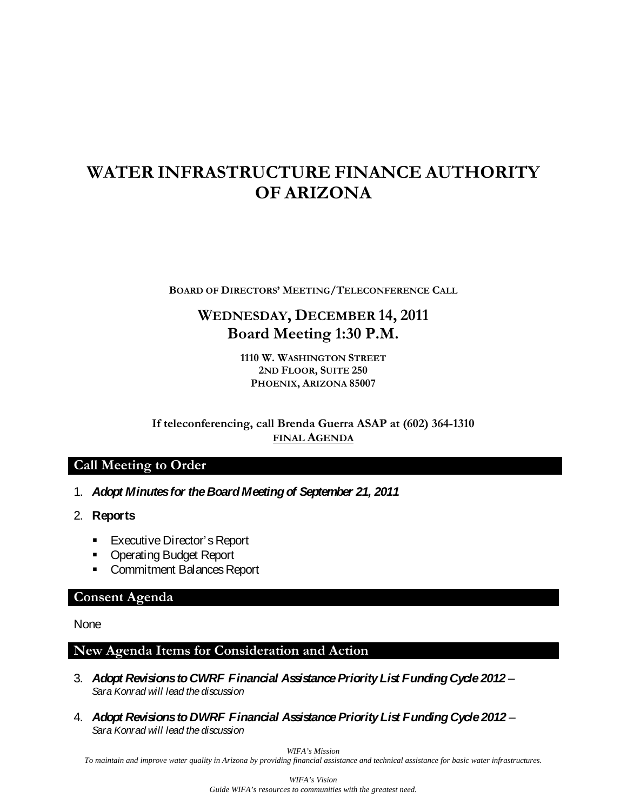# **WATER INFRASTRUCTURE FINANCE AUTHORITY OF ARIZONA**

**BOARD OF DIRECTORS' MEETING/TELECONFERENCE CALL**

## **WEDNESDAY, DECEMBER 14, 2011 Board Meeting 1:30 P.M.**

**1110 W. WASHINGTON STREET 2ND FLOOR, SUITE 250 PHOENIX, ARIZONA 85007**

**If teleconferencing, call Brenda Guerra ASAP at (602) 364-1310 FINAL AGENDA**

### **Call Meeting to Order**

- 1. *Adopt Minutes for the Board Meeting of September 21, 2011*
- 2. **Reports**
	- **Executive Director's Report**
	- **Operating Budget Report**
	- **Commitment Balances Report**

#### **Consent Agenda**

**None** 

#### **New Agenda Items for Consideration and Action**

- 3. *Adopt Revisions to CWRF Financial Assistance Priority List Funding Cycle 2012 Sara Konrad will lead the discussion*
- 4. *Adopt Revisions to DWRF Financial Assistance Priority List Funding Cycle 2012 Sara Konrad will lead the discussion*

*WIFA's Mission*

*To maintain and improve water quality in Arizona by providing financial assistance and technical assistance for basic water infrastructures.*